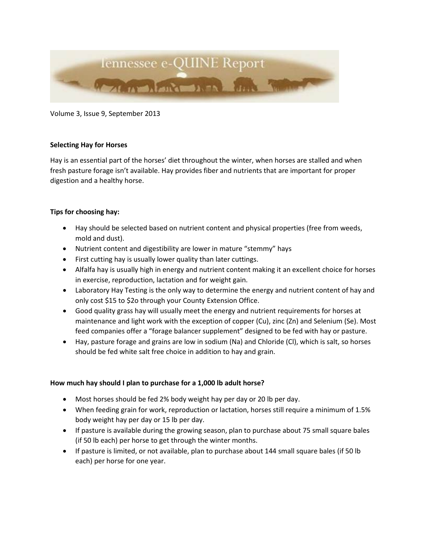

Volume 3, Issue 9, September 2013

# **Selecting Hay for Horses**

Hay is an essential part of the horses' diet throughout the winter, when horses are stalled and when fresh pasture forage isn't available. Hay provides fiber and nutrients that are important for proper digestion and a healthy horse.

# **Tips for choosing hay:**

- Hay should be selected based on nutrient content and physical properties (free from weeds, mold and dust).
- Nutrient content and digestibility are lower in mature "stemmy" hays
- First cutting hay is usually lower quality than later cuttings.
- Alfalfa hay is usually high in energy and nutrient content making it an excellent choice for horses in exercise, reproduction, lactation and for weight gain.
- Laboratory Hay Testing is the only way to determine the energy and nutrient content of hay and only cost \$15 to \$2o through your County Extension Office.
- Good quality grass hay will usually meet the energy and nutrient requirements for horses at maintenance and light work with the exception of copper (Cu), zinc (Zn) and Selenium (Se). Most feed companies offer a "forage balancer supplement" designed to be fed with hay or pasture.
- Hay, pasture forage and grains are low in sodium (Na) and Chloride (Cl), which is salt, so horses should be fed white salt free choice in addition to hay and grain.

# **How much hay should I plan to purchase for a 1,000 lb adult horse?**

- Most horses should be fed 2% body weight hay per day or 20 lb per day.
- When feeding grain for work, reproduction or lactation, horses still require a minimum of 1.5% body weight hay per day or 15 lb per day.
- If pasture is available during the growing season, plan to purchase about 75 small square bales (if 50 lb each) per horse to get through the winter months.
- If pasture is limited, or not available, plan to purchase about 144 small square bales (if 50 lb each) per horse for one year.